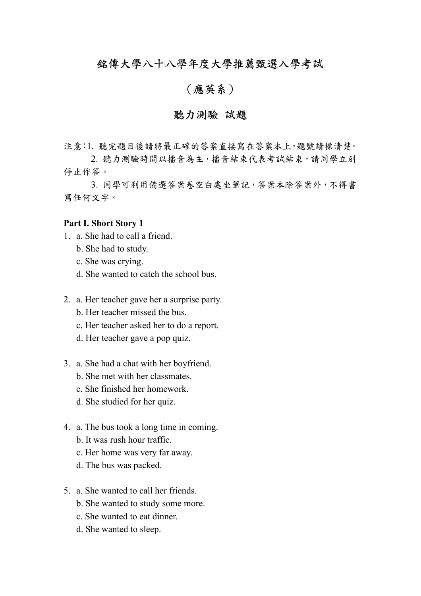# 銘傳大學八十八學年度大學推薦甄選入學考試

# (應英系)

# 聽力測驗 試題

注意:1. 聽完題目後請將最正確的答案直接寫在答案本上,題號請標清楚。 2. 聽力測驗時間以播音為主,播音結束代表考試結束,請同學立刻

停止作答。

 3. 同學可利用備選答案卷空白處坐筆記,答案本除答案外,不得書 寫任何文字。

#### **Part I. Short Story 1**

- 1. a. She had to call a friend.
	- b. She had to study.
	- c. She was crying.
	- d. She wanted to catch the school bus.
- 2. a. Her teacher gave her a surprise party.
	- b. Her teacher missed the bus.
	- c. Her teacher asked her to do a report.
	- d. Her teacher gave a pop quiz.
- 3. a. She had a chat with her boyfriend.
	- b. She met with her classmates.
	- c. She finished her homework.
	- d. She studied for her quiz.
- 4. a. The bus took a long time in coming.
	- b. It was rush hour traffic.
	- c. Her home was very far away.
	- d. The bus was packed.
- 5. a. She wanted to call her friends.
	- b. She wanted to study some more.
	- c. She wanted to eat dinner.
	- d. She wanted to sleep.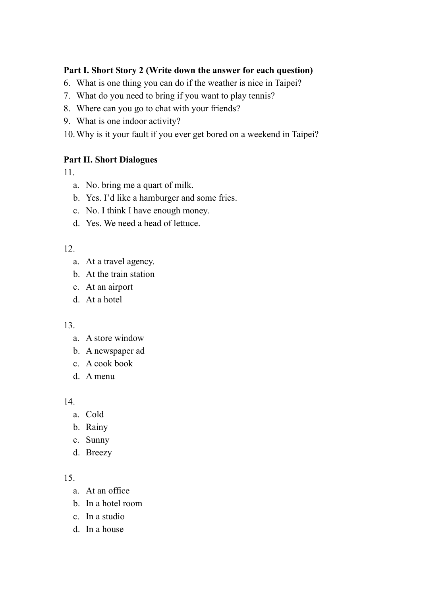# **Part I. Short Story 2 (Write down the answer for each question)**

- 6. What is one thing you can do if the weather is nice in Taipei?
- 7. What do you need to bring if you want to play tennis?
- 8. Where can you go to chat with your friends?
- 9. What is one indoor activity?
- 10.Why is it your fault if you ever get bored on a weekend in Taipei?

### **Part II. Short Dialogues**

11.

- a. No. bring me a quart of milk.
- b. Yes. I'd like a hamburger and some fries.
- c. No. I think I have enough money.
- d. Yes. We need a head of lettuce.

### 12.

- a. At a travel agency.
- b. At the train station
- c. At an airport
- d. At a hotel

### 13.

- a. A store window
- b. A newspaper ad
- c. A cook book
- d. A menu

14.

- a. Cold
- b. Rainy
- c. Sunny
- d. Breezy

- a. At an office
- b. In a hotel room
- c. In a studio
- d. In a house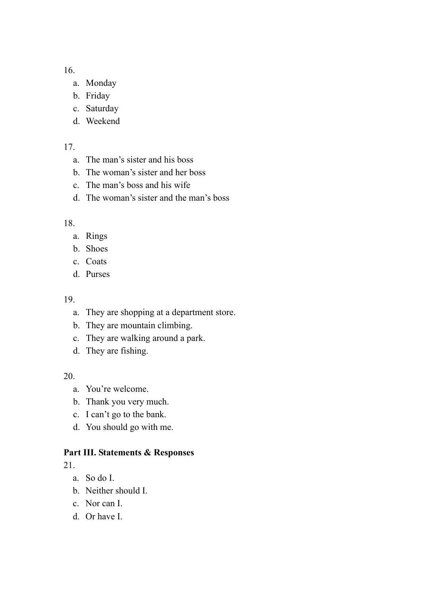- a. Monday
- b. Friday
- c. Saturday
- d. Weekend

17.

- a. The man's sister and his boss
- b. The woman's sister and her boss
- c. The man's boss and his wife
- d. The woman's sister and the man's boss

18.

- a. Rings
- b. Shoes
- c. Coats
- d. Purses

### 19.

- a. They are shopping at a department store.
- b. They are mountain climbing.
- c. They are walking around a park.
- d. They are fishing.

20.

- a. You're welcome.
- b. Thank you very much.
- c. I can't go to the bank.
- d. You should go with me.

# **Part III. Statements & Responses**

- a. So do I.
- b. Neither should I.
- c. Nor can I.
- d. Or have I.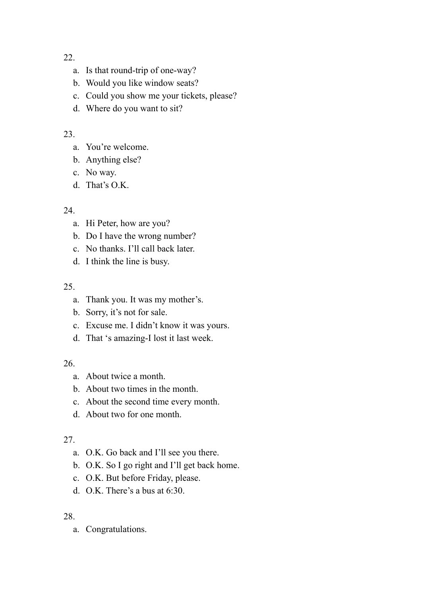- a. Is that round-trip of one-way?
- b. Would you like window seats?
- c. Could you show me your tickets, please?
- d. Where do you want to sit?

# 23.

- a. You're welcome.
- b. Anything else?
- c. No way.
- d. That's O.K.

# 24.

- a. Hi Peter, how are you?
- b. Do I have the wrong number?
- c. No thanks. I'll call back later.
- d. I think the line is busy.

# 25.

- a. Thank you. It was my mother's.
- b. Sorry, it's not for sale.
- c. Excuse me. I didn't know it was yours.
- d. That 's amazing-I lost it last week.

# 26.

- a. About twice a month.
- b. About two times in the month.
- c. About the second time every month.
- d. About two for one month.

# 27.

- a. O.K. Go back and I'll see you there.
- b. O.K. So I go right and I'll get back home.
- c. O.K. But before Friday, please.
- d. O.K. There's a bus at 6:30.

# 28.

a. Congratulations.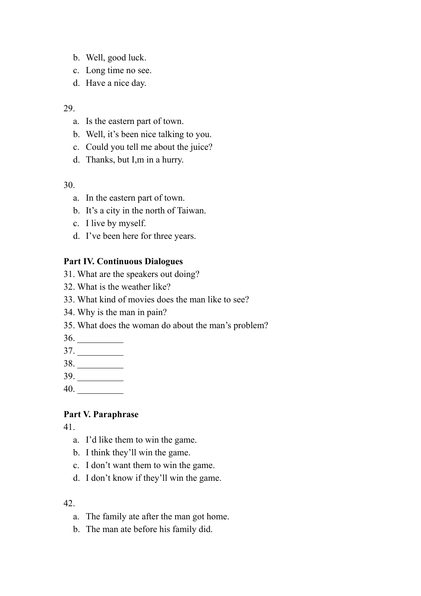- b. Well, good luck.
- c. Long time no see.
- d. Have a nice day.

- a. Is the eastern part of town.
- b. Well, it's been nice talking to you.
- c. Could you tell me about the juice?
- d. Thanks, but I,m in a hurry.

30.

- a. In the eastern part of town.
- b. It's a city in the north of Taiwan.
- c. I live by myself.
- d. I've been here for three years.

### **Part IV. Continuous Dialogues**

- 31. What are the speakers out doing?
- 32. What is the weather like?
- 33. What kind of movies does the man like to see?
- 34. Why is the man in pain?
- 35. What does the woman do about the man's problem?
- 36. \_\_\_\_\_\_\_\_\_\_
- $37.$
- 38. \_\_\_\_\_\_\_\_\_\_
- 39. \_\_\_\_\_\_\_\_\_\_
- 40. \_\_\_\_\_\_\_\_\_\_

### **Part V. Paraphrase**

41.

- a. I'd like them to win the game.
- b. I think they'll win the game.
- c. I don't want them to win the game.
- d. I don't know if they'll win the game.

- a. The family ate after the man got home.
- b. The man ate before his family did.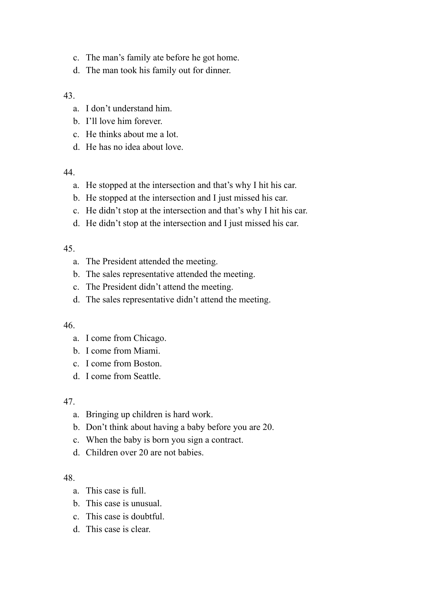- c. The man's family ate before he got home.
- d. The man took his family out for dinner.

- a. I don't understand him.
- b. I'll love him forever.
- c. He thinks about me a lot.
- d. He has no idea about love.

### 44.

- a. He stopped at the intersection and that's why I hit his car.
- b. He stopped at the intersection and I just missed his car.
- c. He didn't stop at the intersection and that's why I hit his car.
- d. He didn't stop at the intersection and I just missed his car.

### 45.

- a. The President attended the meeting.
- b. The sales representative attended the meeting.
- c. The President didn't attend the meeting.
- d. The sales representative didn't attend the meeting.

### 46.

- a. I come from Chicago.
- b. I come from Miami.
- c. I come from Boston.
- d. I come from Seattle.

### 47.

- a. Bringing up children is hard work.
- b. Don't think about having a baby before you are 20.
- c. When the baby is born you sign a contract.
- d. Children over 20 are not babies.

- a. This case is full.
- b. This case is unusual.
- c. This case is doubtful.
- d. This case is clear.